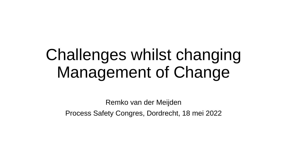## Challenges whilst changing Management of Change

Remko van der Meijden Process Safety Congres, Dordrecht, 18 mei 2022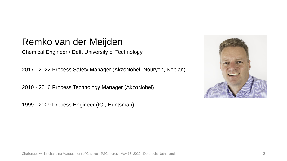#### Remko van der Meijden

Chemical Engineer / Delft University of Technology

2017 - 2022 Process Safety Manager (AkzoNobel, Nouryon, Nobian)

2010 - 2016 Process Technology Manager (AkzoNobel)

1999 - 2009 Process Engineer (ICI, Huntsman)

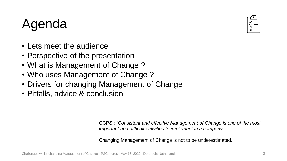#### Challenges whilst changing Management of Change - PSCongres - May 18, 2022 - Dordrecht Netherlands 3

- Who uses Management of Change ?
- Drivers for changing Management of Change
- Pitfalls, advice & conclusion

CCPS : "*Consistent and effective Management of Change is one of the most important and difficult activities to implement in a company.*"

Changing Management of Change is not to be underestimated.

#### Agenda

- Lets meet the audience
- Perspective of the presentation
- What is Management of Change ?
-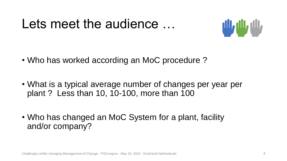#### Lets meet the audience …



- Who has worked according an MoC procedure ?
- What is a typical average number of changes per year per plant ? Less than 10, 10-100, more than 100
- Who has changed an MoC System for a plant, facility and/or company?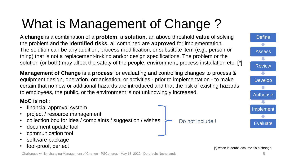### What is Management of Change ?

A **change** is a combination of a **problem**, a **solution**, an above threshold **value** of solving the problem and the **identified risks**, all combined are **approved** for implementation. The solution can be any addition, process modification, or substitute item (e.g., person or thing) that is not a replacement-in-kind and/or design specifications. The problem or the solution (or both) may affect the safety of the people, environment, process installation etc. [\*]

**Management of Change** is a **process** for evaluating and controlling changes to process & equipment design, operation, organisation, or activities - prior to implementation - to make certain that no new or additional hazards are introduced and that the risk of existing hazards to employees, the public, or the environment is not unknowingly increased.

#### **MoC is not :**

- financial approval system
- project / resource management
- collection box for idea / complaints / suggestion / wishes
- document update tool
- communication tool
- software package
- fool-proof, perfect example it is a change fool-proof, perfect  $\mathbb{F}_1^*$  when in doubt, assume it's a change





Do not include !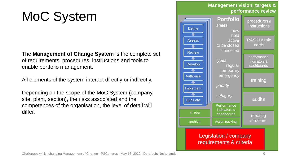### MoC System

The **Management of Change System** is the complete set of requirements, procedures, instructions and tools to enable portfolio management.

All elements of the system interact directly or indirectly.

Depending on the scope of the MoC System (company, site, plant, section), the risks associated and the competences of the organisation, the level of detail will differ.



**Management vision, targets &**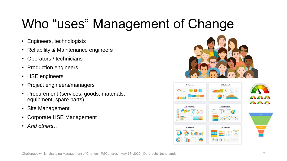### Who "uses" Management of Change

- Engineers, technologists
- Reliability & Maintenance engineers
- Operators / technicians
- Production engineers
- HSE engineers
- Project engineers/managers
- Procurement (services, goods, materials, equipment, spare parts)
- Site Management
- Corporate HSE Management
- *And others…*



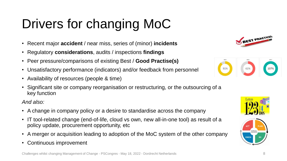## Drivers for changing MoC

- Recent major **accident** / near miss, series of (minor) **incidents**
- Regulatory **considerations**, audits / inspections **findings**
- Peer pressure/comparisons of existing Best / **Good Practise(s)**
- Unsatisfactory performance (indicators) and/or feedback from personnel
- Availability of resources (people & time)
- Significant site or company reorganisation or restructuring, or the outsourcing of a key function

*And also:*

- A change in company policy or a desire to standardise across the company
- IT tool-related change (end-of-life, cloud vs own, new all-in-one tool) as result of a policy update, procurement opportunity, etc
- A merger or acquisition leading to adoption of the MoC system of the other company
- Continuous improvement





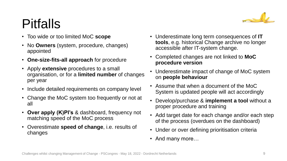#### Pitfalls

- Too wide or too limited MoC **scope**
- No **Owners** (system, procedure, changes) appointed
- **One-size-fits-all approach** for procedure
- Apply **extensive** procedures to a small organisation, or for a **limited number** of changes per year
- Include detailed requirements on company level
- Change the MoC system too frequently or not at all
- **Over apply (K)PI's** & dashboard, frequency not matching speed of the MoC process
- Overestimate **speed of change**, i.e. results of changes
- Underestimate long term consequences of **IT tools**, e.g. historical Change archive no longer accessible after IT-system change.
- Completed changes are not linked to **MoC procedure version**
- Underestimate impact of change of MoC system on **people behaviour**
- Assume that when a document of the MoC System is updated people will act accordingly
- Develop/purchase & **implement a tool** without a proper procedure and training
- Add target date for each change and/or each step of the process (overdues on the dashboard)
- Under or over defining prioritisation criteria
- And many more…

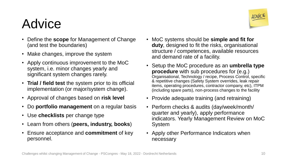#### Advice



- Define the **scope** for Management of Change (and test the boundaries)
- Make changes, improve the system
- Apply continuous improvement to the MoC system, i.e. minor changes yearly and significant system changes rarely.
- **Trial / field test** the system prior to its official implementation (or major/system change).
- Approval of changes based on **risk level**
- Do **portfolio management** on a regular basis
- Use **checklists** per change type
- Learn from others (**peers, industry, books**)
- Ensure acceptance and **commitment** of key personnel.
- MoC systems should be **simple and fit for duty**, designed to fit the risks, organisational structure / competences, available resources and demand rate of a facility.
- Setup the MoC procedure as an **umbrella type procedure** with sub procedures for (e.g.) Organisational, Technology / recipe, Process Control, specific & repetitive changes (Safety System overrides, leak repair items, operating procedures, contractor company, etc), ITPM (including spare parts), non-process changes to the facility
- Provide adequate training (and retraining)
- Perform checks & audits (day/week/month/ quarter and yearly), apply performance indicators. Yearly Management Review on MoC System
- Apply other Performance Indicators when necessary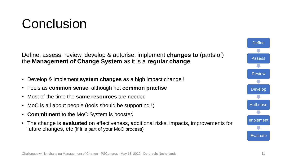#### Challenges whilst changing Management of Change - PSCongres - May 18, 2022 - Dordrecht Netherlands 11

#### **Conclusion**

Define, assess, review, develop & autorise, implement **changes to** (parts of) the **Management of Change System** as it is a **regular change**.

- Develop & implement **system changes** as a high impact change !
- Feels as **common sense**, although not **common practise**
- Most of the time the **same resources** are needed
- MoC is all about people (tools should be supporting !)
- **Commitment** to the MoC System is boosted
- The change is **evaluated** on effectiveness, additional risks, impacts, improvements for future changes, etc (if it is part of your MoC process)